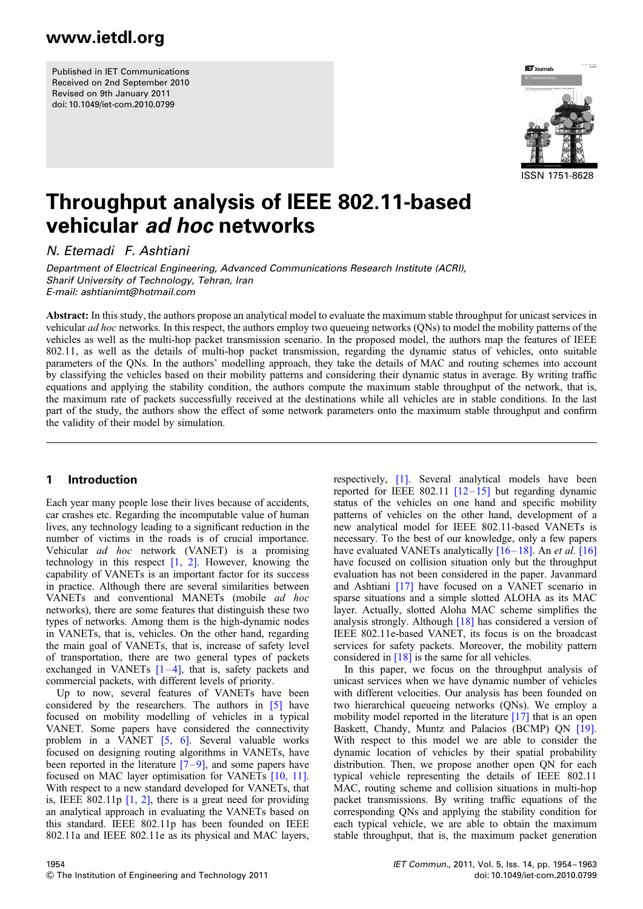Published in IET Communications Received on 2nd September 2010 Revised on 9th January 2011 doi: 10.1049/iet-com.2010.0799



# Throughput analysis of IEEE 802.11-based vehicular ad hoc networks

N. Etemadi F. Ashtiani

Department of Electrical Engineering, Advanced Communications Research Institute (ACRI), Sharif University of Technology, Tehran, Iran E-mail: ashtianimt@hotmail.com

Abstract: In this study, the authors propose an analytical model to evaluate the maximum stable throughput for unicast services in vehicular ad hoc networks. In this respect, the authors employ two queueing networks (QNs) to model the mobility patterns of the vehicles as well as the multi-hop packet transmission scenario. In the proposed model, the authors map the features of IEEE 802.11, as well as the details of multi-hop packet transmission, regarding the dynamic status of vehicles, onto suitable parameters of the QNs. In the authors' modelling approach, they take the details of MAC and routing schemes into account by classifying the vehicles based on their mobility patterns and considering their dynamic status in average. By writing traffic equations and applying the stability condition, the authors compute the maximum stable throughput of the network, that is, the maximum rate of packets successfully received at the destinations while all vehicles are in stable conditions. In the last part of the study, the authors show the effect of some network parameters onto the maximum stable throughput and confirm the validity of their model by simulation.

### 1 Introduction

Each year many people lose their lives because of accidents, car crashes etc. Regarding the incomputable value of human lives, any technology leading to a significant reduction in the number of victims in the roads is of crucial importance. Vehicular ad hoc network (VANET) is a promising technology in this respect  $[1, 2]$ . However, knowing the capability of VANETs is an important factor for its success in practice. Although there are several similarities between VANETs and conventional MANETs (mobile ad hoc networks), there are some features that distinguish these two types of networks. Among them is the high-dynamic nodes in VANETs, that is, vehicles. On the other hand, regarding the main goal of VANETs, that is, increase of safety level of transportation, there are two general types of packets exchanged in VANETs  $[1-4]$ , that is, safety packets and commercial packets, with different levels of priority.

Up to now, several features of VANETs have been considered by the researchers. The authors in [5] have focused on mobility modelling of vehicles in a typical VANET. Some papers have considered the connectivity problem in a VANET [5, 6]. Several valuable works focused on designing routing algorithms in VANETs, have been reported in the literature  $[7-9]$ , and some papers have focused on MAC layer optimisation for VANETs [10, 11]. With respect to a new standard developed for VANETs, that is, IEEE 802.11p  $\lceil 1, 2 \rceil$ , there is a great need for providing an analytical approach in evaluating the VANETs based on this standard. IEEE 802.11p has been founded on IEEE 802.11a and IEEE 802.11e as its physical and MAC layers, respectively, [1]. Several analytical models have been reported for IEEE 802.11  $[12-15]$  but regarding dynamic status of the vehicles on one hand and specific mobility patterns of vehicles on the other hand, development of a new analytical model for IEEE 802.11-based VANETs is necessary. To the best of our knowledge, only a few papers have evaluated VANETs analytically  $[16-18]$ . An *et al.* [16] have focused on collision situation only but the throughput evaluation has not been considered in the paper. Javanmard and Ashtiani [17] have focused on a VANET scenario in sparse situations and a simple slotted ALOHA as its MAC layer. Actually, slotted Aloha MAC scheme simplifies the analysis strongly. Although [18] has considered a version of IEEE 802.11e-based VANET, its focus is on the broadcast services for safety packets. Moreover, the mobility pattern considered in [18] is the same for all vehicles.

In this paper, we focus on the throughput analysis of unicast services when we have dynamic number of vehicles with different velocities. Our analysis has been founded on two hierarchical queueing networks (QNs). We employ a mobility model reported in the literature [17] that is an open Baskett, Chandy, Muntz and Palacios (BCMP) QN [19]. With respect to this model we are able to consider the dynamic location of vehicles by their spatial probability distribution. Then, we propose another open QN for each typical vehicle representing the details of IEEE 802.11 MAC, routing scheme and collision situations in multi-hop packet transmissions. By writing traffic equations of the corresponding QNs and applying the stability condition for each typical vehicle, we are able to obtain the maximum stable throughput, that is, the maximum packet generation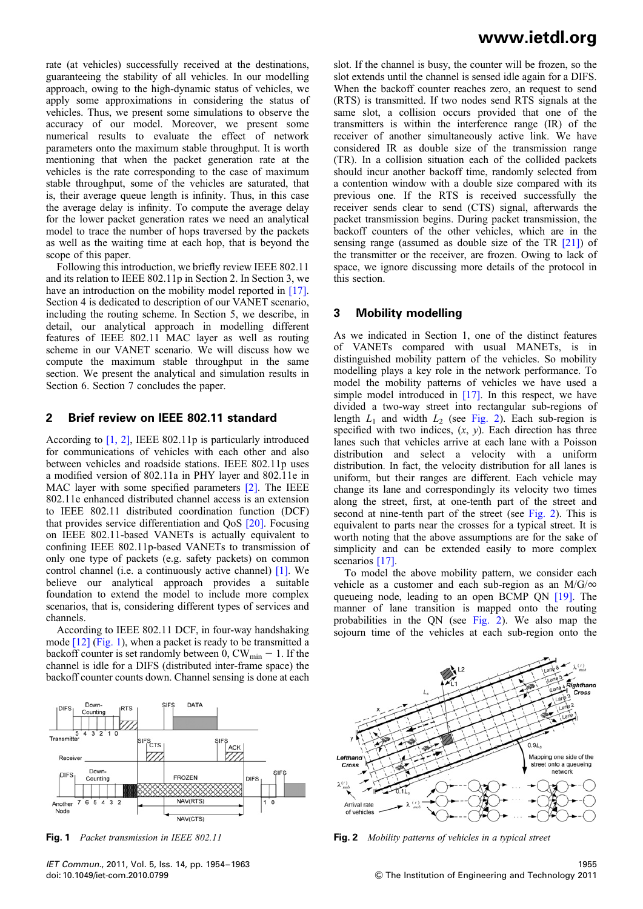rate (at vehicles) successfully received at the destinations, guaranteeing the stability of all vehicles. In our modelling approach, owing to the high-dynamic status of vehicles, we apply some approximations in considering the status of vehicles. Thus, we present some simulations to observe the accuracy of our model. Moreover, we present some numerical results to evaluate the effect of network parameters onto the maximum stable throughput. It is worth mentioning that when the packet generation rate at the vehicles is the rate corresponding to the case of maximum stable throughput, some of the vehicles are saturated, that is, their average queue length is infinity. Thus, in this case the average delay is infinity. To compute the average delay for the lower packet generation rates we need an analytical model to trace the number of hops traversed by the packets as well as the waiting time at each hop, that is beyond the scope of this paper.

Following this introduction, we briefly review IEEE 802.11 and its relation to IEEE 802.11p in Section 2. In Section 3, we have an introduction on the mobility model reported in [17]. Section 4 is dedicated to description of our VANET scenario, including the routing scheme. In Section 5, we describe, in detail, our analytical approach in modelling different features of IEEE 802.11 MAC layer as well as routing scheme in our VANET scenario. We will discuss how we compute the maximum stable throughput in the same section. We present the analytical and simulation results in Section 6. Section 7 concludes the paper.

### 2 Brief review on IEEE 802.11 standard

According to [1, 2], IEEE 802.11p is particularly introduced for communications of vehicles with each other and also between vehicles and roadside stations. IEEE 802.11p uses a modified version of 802.11a in PHY layer and 802.11e in MAC layer with some specified parameters [2]. The IEEE 802.11e enhanced distributed channel access is an extension to IEEE 802.11 distributed coordination function (DCF) that provides service differentiation and QoS [20]. Focusing on IEEE 802.11-based VANETs is actually equivalent to confining IEEE 802.11p-based VANETs to transmission of only one type of packets (e.g. safety packets) on common control channel (i.e. a continuously active channel) [1]. We believe our analytical approach provides a suitable foundation to extend the model to include more complex scenarios, that is, considering different types of services and channels.

According to IEEE 802.11 DCF, in four-way handshaking mode [12] (Fig. 1), when a packet is ready to be transmitted a backoff counter is set randomly between 0,  $CW_{min} - 1$ . If the channel is idle for a DIFS (distributed inter-frame space) the backoff counter counts down. Channel sensing is done at each



slot. If the channel is busy, the counter will be frozen, so the slot extends until the channel is sensed idle again for a DIFS. When the backoff counter reaches zero, an request to send (RTS) is transmitted. If two nodes send RTS signals at the same slot, a collision occurs provided that one of the transmitters is within the interference range (IR) of the receiver of another simultaneously active link. We have considered IR as double size of the transmission range (TR). In a collision situation each of the collided packets should incur another backoff time, randomly selected from a contention window with a double size compared with its previous one. If the RTS is received successfully the receiver sends clear to send (CTS) signal, afterwards the packet transmission begins. During packet transmission, the backoff counters of the other vehicles, which are in the sensing range (assumed as double size of the TR [21]) of the transmitter or the receiver, are frozen. Owing to lack of space, we ignore discussing more details of the protocol in this section.

### 3 Mobility modelling

As we indicated in Section 1, one of the distinct features of VANETs compared with usual MANETs, is in distinguished mobility pattern of the vehicles. So mobility modelling plays a key role in the network performance. To model the mobility patterns of vehicles we have used a simple model introduced in [17]. In this respect, we have divided a two-way street into rectangular sub-regions of length  $L_1$  and width  $L_2$  (see Fig. 2). Each sub-region is specified with two indices,  $(x, y)$ . Each direction has three lanes such that vehicles arrive at each lane with a Poisson distribution and select a velocity with a uniform distribution. In fact, the velocity distribution for all lanes is uniform, but their ranges are different. Each vehicle may change its lane and correspondingly its velocity two times along the street, first, at one-tenth part of the street and second at nine-tenth part of the street (see Fig. 2). This is equivalent to parts near the crosses for a typical street. It is worth noting that the above assumptions are for the sake of simplicity and can be extended easily to more complex scenarios [17].

To model the above mobility pattern, we consider each vehicle as a customer and each sub-region as an  $M/G/\infty$ queueing node, leading to an open BCMP QN [19]. The manner of lane transition is mapped onto the routing probabilities in the QN (see Fig. 2). We also map the sojourn time of the vehicles at each sub-region onto the



**Fig. 1** Packet transmission in IEEE 802.11 **Fig. 2** Mobility patterns of vehicles in a typical street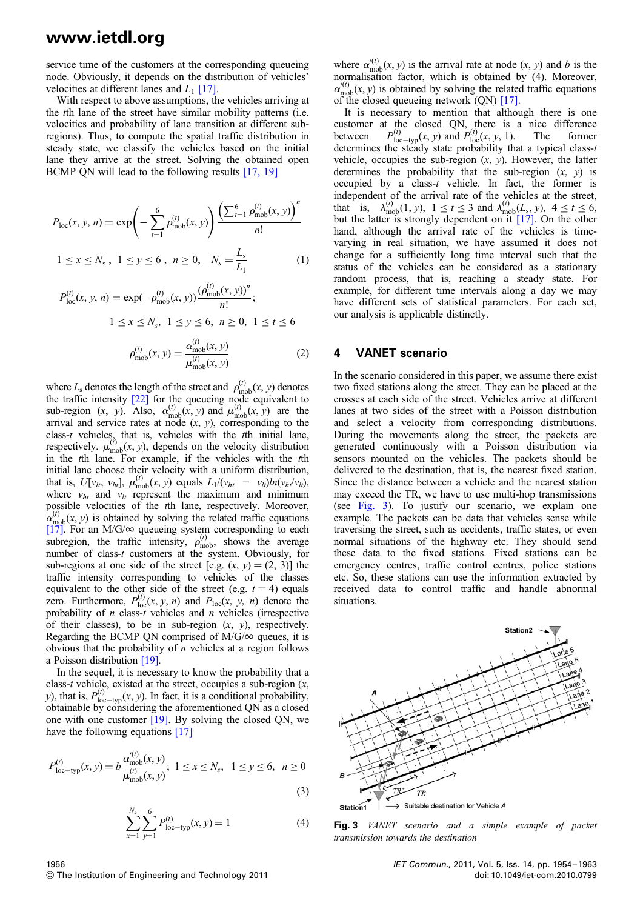service time of the customers at the corresponding queueing node. Obviously, it depends on the distribution of vehicles' velocities at different lanes and  $L_1$  [17].

With respect to above assumptions, the vehicles arriving at the tth lane of the street have similar mobility patterns (i.e. velocities and probability of lane transition at different subregions). Thus, to compute the spatial traffic distribution in steady state, we classify the vehicles based on the initial lane they arrive at the street. Solving the obtained open BCMP QN will lead to the following results [17, 19]

$$
P_{\text{loc}}(x, y, n) = \exp\left(-\sum_{t=1}^{6} \rho_{\text{mob}}^{(t)}(x, y)\right) \frac{\left(\sum_{t=1}^{6} \rho_{\text{mob}}^{(t)}(x, y)\right)^{n}}{n!}
$$
  

$$
1 \le x \le N_s, \ 1 \le y \le 6, \ n \ge 0, \ N_s = \frac{L_s}{L_1}
$$
 (1)

$$
P_{\text{loc}}^{(t)}(x, y, n) = \exp(-\rho_{\text{mob}}^{(t)}(x, y)) \frac{(\rho_{\text{mob}}^{(t)}(x, y))^{n}}{n!};
$$
  

$$
1 \le x \le N_s, \ 1 \le y \le 6, \ n \ge 0, \ 1 \le t \le 6
$$

$$
\rho_{\text{mob}}^{(t)}(x, y) = \frac{\alpha_{\text{mob}}^{(t)}(x, y)}{\mu_{\text{mob}}^{(t)}(x, y)}
$$
(2)

where  $L_s$  denotes the length of the street and  $\rho_{\text{mob}}^{(t)}(x, y)$  denotes the traffic intensity [22] for the queueing node equivalent to sub-region  $(x, y)$ . Also,  $\alpha_{\text{mob}}^{(t)}(x, y)$  and  $\mu_{\text{mob}}^{(t)}(x, y)$  are the arrival and service rates at node  $(x, y)$ , corresponding to the class-t vehicles, that is, vehicles with the the initial lane, respectively.  $\mu_{\text{mob}}^{(i)}(x, y)$ , depends on the velocity distribution in the tth lane. For example, if the vehicles with the tth initial lane choose their velocity with a uniform distribution, that is,  $U[v_{lt}, v_{ht}]$ ,  $\mu_{\text{mob}}^{(t)}(x, y)$  equals  $L_1/(v_{ht} - v_{lt})ln(v_{ht}/v_{lt})$ , where  $v_{ht}$  and  $v_{lt}$  represent the maximum and minimum possible velocities of the tth lane, respectively. Moreover,  $\alpha_{\text{mob}}^{(t)}(x, y)$  is obtained by solving the related traffic equations [17]. For an M/G/ $\infty$  queueing system corresponding to each subregion, the traffic intensity,  $\rho_{\rm{mob}}^{(t)}$ , shows the average number of class-*t* customers at the system. Obviously, for sub-regions at one side of the street [e.g.  $(x, y) = (2, 3)$ ] the traffic intensity corresponding to vehicles of the classes equivalent to the other side of the street (e.g.  $t = 4$ ) equals zero. Furthermore,  $P_{\text{loc}}^{(t)}(x, y, n)$  and  $P_{\text{loc}}(x, y, n)$  denote the probability of  $n$  class- $t$  vehicles and  $n$  vehicles (irrespective of their classes), to be in sub-region  $(x, y)$ , respectively. Regarding the BCMP ON comprised of  $M/G/\infty$  queues, it is obvious that the probability of  $n$  vehicles at a region follows a Poisson distribution [19].

In the sequel, it is necessary to know the probability that a class-t vehicle, existed at the street, occupies a sub-region  $(x,$ y), that is,  $P_{\text{loc}-\text{typ}}^{(t)}(x, y)$ . In fact, it is a conditional probability, obtainable by considering the aforementioned QN as a closed one with one customer [19]. By solving the closed QN, we have the following equations [17]

$$
P_{\text{loc-type}}^{(t)}(x, y) = b \frac{\alpha_{\text{mob}}^{(t)}(x, y)}{\mu_{\text{mob}}^{(t)}(x, y)}; \ 1 \le x \le N_s, \ 1 \le y \le 6, \ n \ge 0
$$
\n(3)

$$
\sum_{x=1}^{N_s} \sum_{y=1}^{6} P_{\text{loc-type}}^{(t)}(x, y) = 1
$$
 (4)

where  $\alpha_{\text{mob}}^{(t)}(x, y)$  is the arrival rate at node  $(x, y)$  and b is the normalisation factor, which is obtained by (4). Moreover,  $\alpha_{\text{mob}}^{(t)}(x, y)$  is obtained by solving the related traffic equations of the closed queueing network (QN) [17].

It is necessary to mention that although there is one customer at the closed QN, there is a nice difference between  $P_{\text{loc-type}}^{(t)}(x, y)$  and  $P_{\text{loc}}^{(t)}(x, y, 1)$ . The former determines the steady state probability that a typical class-t vehicle, occupies the sub-region  $(x, y)$ . However, the latter determines the probability that the sub-region  $(x, y)$  is occupied by a class-t vehicle. In fact, the former is independent of the arrival rate of the vehicles at the street, that is,  $\lambda_{\text{mob}}^{(t)}(1, y)$ ,  $1 \le t \le 3$  and  $\lambda_{\text{mob}}^{(t)}(L_s, y)$ ,  $4 \le t \le 6$ , but the latter is strongly dependent on it [17]. On the other hand, although the arrival rate of the vehicles is timevarying in real situation, we have assumed it does not change for a sufficiently long time interval such that the status of the vehicles can be considered as a stationary random process, that is, reaching a steady state. For example, for different time intervals along a day we may have different sets of statistical parameters. For each set, our analysis is applicable distinctly.

### 4 VANET scenario

In the scenario considered in this paper, we assume there exist two fixed stations along the street. They can be placed at the crosses at each side of the street. Vehicles arrive at different lanes at two sides of the street with a Poisson distribution and select a velocity from corresponding distributions. During the movements along the street, the packets are generated continuously with a Poisson distribution via sensors mounted on the vehicles. The packets should be delivered to the destination, that is, the nearest fixed station. Since the distance between a vehicle and the nearest station may exceed the TR, we have to use multi-hop transmissions (see Fig. 3). To justify our scenario, we explain one example. The packets can be data that vehicles sense while traversing the street, such as accidents, traffic states, or even normal situations of the highway etc. They should send these data to the fixed stations. Fixed stations can be emergency centres, traffic control centres, police stations etc. So, these stations can use the information extracted by received data to control traffic and handle abnormal situations.



 $\rightarrow$  Suitable destination for Vehicle A Station1

Fig. 3 VANET scenario and a simple example of packet transmission towards the destination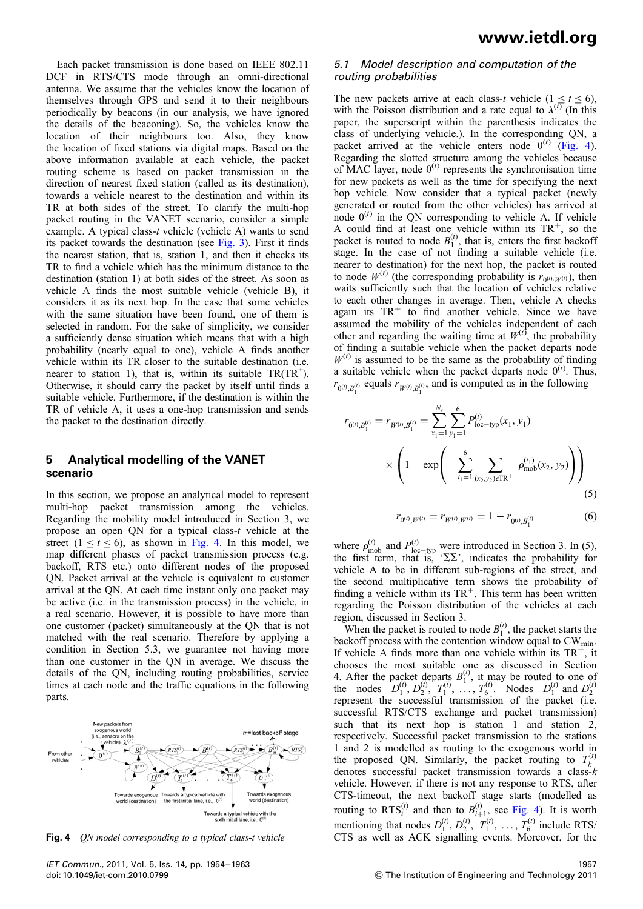Each packet transmission is done based on IEEE 802.11 DCF in RTS/CTS mode through an omni-directional antenna. We assume that the vehicles know the location of themselves through GPS and send it to their neighbours periodically by beacons (in our analysis, we have ignored the details of the beaconing). So, the vehicles know the location of their neighbours too. Also, they know the location of fixed stations via digital maps. Based on the above information available at each vehicle, the packet routing scheme is based on packet transmission in the direction of nearest fixed station (called as its destination), towards a vehicle nearest to the destination and within its TR at both sides of the street. To clarify the multi-hop packet routing in the VANET scenario, consider a simple example. A typical class-t vehicle (vehicle A) wants to send its packet towards the destination (see Fig. 3). First it finds the nearest station, that is, station 1, and then it checks its TR to find a vehicle which has the minimum distance to the destination (station 1) at both sides of the street. As soon as vehicle A finds the most suitable vehicle (vehicle B), it considers it as its next hop. In the case that some vehicles with the same situation have been found, one of them is selected in random. For the sake of simplicity, we consider a sufficiently dense situation which means that with a high probability (nearly equal to one), vehicle A finds another vehicle within its TR closer to the suitable destination (i.e. nearer to station 1), that is, within its suitable  $TR(T\hat{R}^+)$ . Otherwise, it should carry the packet by itself until finds a suitable vehicle. Furthermore, if the destination is within the TR of vehicle A, it uses a one-hop transmission and sends the packet to the destination directly.

### 5 Analytical modelling of the VANET scenario

In this section, we propose an analytical model to represent multi-hop packet transmission among the vehicles. Regarding the mobility model introduced in Section 3, we propose an open QN for a typical class-t vehicle at the street  $(1 \le t \le 6)$ , as shown in Fig. 4. In this model, we map different phases of packet transmission process (e.g. backoff, RTS etc.) onto different nodes of the proposed QN. Packet arrival at the vehicle is equivalent to customer arrival at the QN. At each time instant only one packet may be active (i.e. in the transmission process) in the vehicle, in a real scenario. However, it is possible to have more than one customer (packet) simultaneously at the QN that is not matched with the real scenario. Therefore by applying a condition in Section 5.3, we guarantee not having more than one customer in the QN in average. We discuss the details of the QN, including routing probabilities, service times at each node and the traffic equations in the following parts.

ast backoff stage  $\blacktriangleright$   $RTS^r$ irds a typical vehicle with the<br>sixth initial lane, i.e., 0<sup>(6)</sup>

#### 5.1 Model description and computation of the routing probabilities

The new packets arrive at each class-t vehicle  $(1 \le t \le 6)$ , with the Poisson distribution and a rate equal to  $\lambda^{(t)}$  (In this paper, the superscript within the parenthesis indicates the class of underlying vehicle.). In the corresponding QN, a packet arrived at the vehicle enters node  $0^{(t)}$  (Fig. 4). Regarding the slotted structure among the vehicles because of MAC layer, node  $0^{(t)}$  represents the synchronisation time for new packets as well as the time for specifying the next hop vehicle. Now consider that a typical packet (newly generated or routed from the other vehicles) has arrived at node  $0^{(t)}$  in the QN corresponding to vehicle A. If vehicle A could find at least one vehicle within its  $TR^+$ , so the packet is routed to node  $B_1^{(t)}$ , that is, enters the first backoff stage. In the case of not finding a suitable vehicle (i.e. nearer to destination) for the next hop, the packet is routed to node  $W^{(t)}$  (the corresponding probability is  $r_{0^{(t)},W^{(t)}}$ ), then waits sufficiently such that the location of vehicles relative to each other changes in average. Then, vehicle A checks again its  $TR<sup>+</sup>$  to find another vehicle. Since we have assumed the mobility of the vehicles independent of each other and regarding the waiting time at  $W^{(t)}$ , the probability of finding a suitable vehicle when the packet departs node  $W^{(t)}$  is assumed to be the same as the probability of finding a suitable vehicle when the packet departs node  $0^{(t)}$ . Thus,  $r_{0^{(t)},B_1^{(t)}}$  equals  $r_{W^{(t)},B_1^{(t)}},$  and is computed as in the following

$$
r_{0^{(t)},B_1^{(t)}} = r_{W^{(t)},B_1^{(t)}} = \sum_{x_1=1}^{N_s} \sum_{y_1=1}^{6} P_{\text{loc-type}}^{(t)}(x_1, y_1)
$$

$$
\times \left(1 - \exp\left(-\sum_{t_1=1}^{6} \sum_{(x_2,y_2)\in \text{TR}^+} \rho_{\text{mob}}^{(t_1)}(x_2, y_2)\right)\right)
$$
(5)

$$
r_{0^{(t)},W^{(t)}} = r_{W^{(t)},W^{(t)}} = 1 - r_{0^{(t)},B_1^{(t)}} \tag{6}
$$

where  $\rho_{\text{mob}}^{(t)}$  and  $P_{\text{loc–typ}}^{(t)}$  were introduced in Section 3. In (5), the first term, that is, ' $\Sigma \Sigma$ ', indicates the probability for vehicle A to be in different sub-regions of the street, and the second multiplicative term shows the probability of finding a vehicle within its  $TR<sup>+</sup>$ . This term has been written regarding the Poisson distribution of the vehicles at each region, discussed in Section 3.

When the packet is routed to node  $B_1^{(t)}$ , the packet starts the backoff process with the contention window equal to  $CW_{min}$ . If vehicle A finds more than one vehicle within its  $TR^+$ , it chooses the most suitable one as discussed in Section 4. After the packet departs  $B_1^{(t)}$ , it may be routed to one of the nodes  $D_1^{(t)}, D_2^{(t)}, T_1^{(t)}, \ldots, T_6^{(t)}$ . Nodes  $D_1^{(t)}$  and  $D_2^{(t)}$  represent the successful transmission of the packet (i.e. successful RTS/CTS exchange and packet transmission) such that its next hop is station 1 and station 2, respectively. Successful packet transmission to the stations 1 and 2 is modelled as routing to the exogenous world in the proposed QN. Similarly, the packet routing to  $T_k^{(t)}$ denotes successful packet transmission towards a class-k vehicle. However, if there is not any response to RTS, after CTS-timeout, the next backoff stage starts (modelled as routing to  $RTS_i^{(t)}$  and then to  $B_{i+1}^{(t)}$ , see Fig. 4). It is worth mentioning that nodes  $D_1^{(t)}$ ,  $D_2^{(t)}$ ,  $T_1^{(t)}$ , ...,  $T_6^{(t)}$  include RTS/ Fig. 4 *QN model corresponding to a typical class-t vehicle* CTS as well as ACK signalling events. Moreover, for the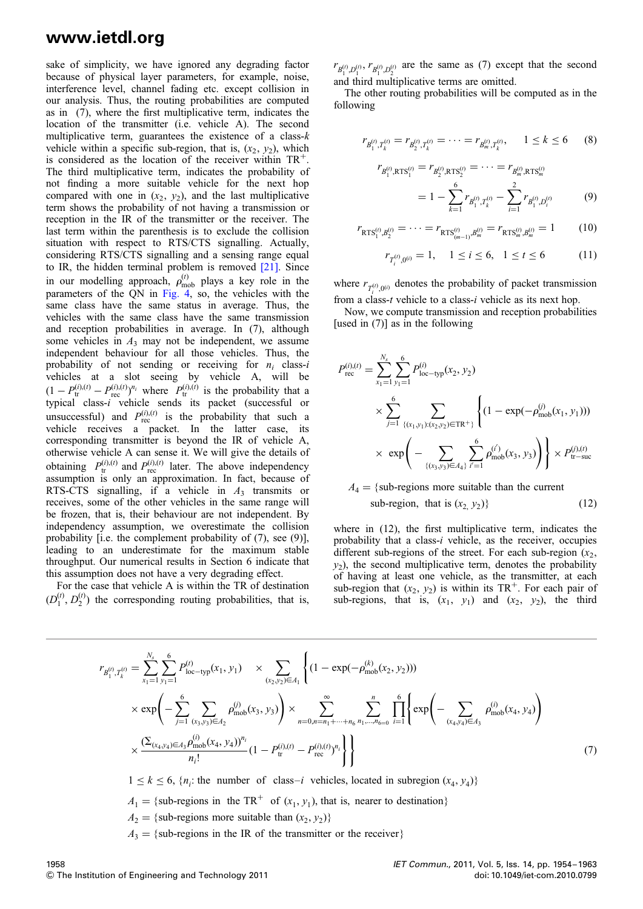sake of simplicity, we have ignored any degrading factor because of physical layer parameters, for example, noise, interference level, channel fading etc. except collision in our analysis. Thus, the routing probabilities are computed as in (7), where the first multiplicative term, indicates the location of the transmitter (i.e. vehicle A). The second multiplicative term, guarantees the existence of a class- $k$ vehicle within a specific sub-region, that is,  $(x_2, y_2)$ , which is considered as the location of the receiver within  $TR^+$ . The third multiplicative term, indicates the probability of not finding a more suitable vehicle for the next hop compared with one in  $(x_2, y_2)$ , and the last multiplicative term shows the probability of not having a transmission or reception in the IR of the transmitter or the receiver. The last term within the parenthesis is to exclude the collision situation with respect to RTS/CTS signalling. Actually, considering RTS/CTS signalling and a sensing range equal to IR, the hidden terminal problem is removed [21]. Since in our modelling approach,  $\rho_{\text{mob}}^{(t)}$  plays a key role in the parameters of the QN in Fig. 4, so, the vehicles with the same class have the same status in average. Thus, the vehicles with the same class have the same transmission and reception probabilities in average. In (7), although some vehicles in  $A_3$  may not be independent, we assume independent behaviour for all those vehicles. Thus, the probability of not sending or receiving for  $n_i$  class-i vehicles at a slot seeing by vehicle A, will be  $(1 - P_{\text{tr}}^{(i),(t)} - P_{\text{rec}}^{(i),(t)})^{n_i}$  where  $P_{\text{tr}}^{(i),(t)}$  is the probability that a typical class-i vehicle sends its packet (successful or unsuccessful) and  $P_{\text{rec}}^{(i),(t)}$  is the probability that such a vehicle receives a packet. In the latter case, its corresponding transmitter is beyond the IR of vehicle A, otherwise vehicle A can sense it. We will give the details of obtaining  $P_{tr}^{(i),(t)}$  and  $P_{rec}^{(i),(t)}$  later. The above independency assumption is only an approximation. In fact, because of RTS-CTS signalling, if a vehicle in  $A_3$  transmits or receives, some of the other vehicles in the same range will be frozen, that is, their behaviour are not independent. By independency assumption, we overestimate the collision probability [i.e. the complement probability of (7), see (9)], leading to an underestimate for the maximum stable throughput. Our numerical results in Section 6 indicate that this assumption does not have a very degrading effect.

For the case that vehicle A is within the TR of destination  $(D_1^{(t)}, D_2^{(t)})$  the corresponding routing probabilities, that is,  $r_{B_1^{(t)}, D_1^{(t)}, r_{B_1^{(t)}, D_2^{(t)}}$  are the same as (7) except that the second and third multiplicative terms are omitted.

The other routing probabilities will be computed as in the following

r

$$
r_{B_1^{(t)},T_k^{(t)}} = r_{B_2^{(t)},T_k^{(t)}} = \dots = r_{B_m^{(t)},T_k^{(t)}}, \quad 1 \le k \le 6 \quad (8)
$$

$$
r_{B_1^{(t)}, \text{RTS}_1^{(t)}} = r_{B_2^{(t)}, \text{RTS}_2^{(t)}} = \dots = r_{B_m^{(t)}, \text{RTS}_m^{(t)}}
$$
  
= 
$$
1 - \sum_{k=1}^6 r_{B_1^{(t)}, T_k^{(t)}} - \sum_{i=1}^2 r_{B_1^{(t)}, D_i^{(t)}} \tag{9}
$$

$$
r_{\text{RTS}_1^{(t)},B_2^{(t)}} = \dots = r_{\text{RTS}_{(m-1)}^{(t)},B_m^{(t)}} = r_{\text{RTS}_m^{(t)},B_m^{(t)}} = 1 \tag{10}
$$

$$
r_{T_i^{(t)},0^{(t)}} = 1, \quad 1 \le i \le 6, \quad 1 \le t \le 6 \tag{11}
$$

where  $r_{T_i^{(t)},0^{(t)}}$  denotes the probability of packet transmission from a class-t vehicle to a class-i vehicle as its next hop.

Now, we compute transmission and reception probabilities [used in (7)] as in the following

$$
P_{\text{rec}}^{(i),(t)} = \sum_{x_1=1}^{N_s} \sum_{y_1=1}^{6} P_{\text{loc-type}}^{(i)}(x_2, y_2)
$$
  
\$\times \sum\_{j=1}^{6} \sum\_{\{(x\_1, y\_1): (x\_2, y\_2) \in \text{TR}^+\}} \left\{ (1 - \exp(-\rho\_{\text{mob}}^{(j)}(x\_1, y\_1)))\right\} \times \exp\left(-\sum\_{\{(x\_3, y\_3) \in A\_4\}} \sum\_{i'=1}^{6} \rho\_{\text{mob}}^{(i')}(x\_3, y\_3) \right) \times P\_{\text{tr-suc}}^{(j),(t)} \end{cases}

$$
A_4 = \{ \text{sub-regions more suitable than the current} \text{sub-region, that is } (x_2, y_2) \}
$$
 (12)

where in (12), the first multiplicative term, indicates the probability that a class-i vehicle, as the receiver, occupies different sub-regions of the street. For each sub-region  $(x_2,$  $y_2$ ), the second multiplicative term, denotes the probability of having at least one vehicle, as the transmitter, at each sub-region that  $(x_2, y_2)$  is within its TR<sup>+</sup>. For each pair of sub-regions, that is,  $(x_1, y_1)$  and  $(x_2, y_2)$ , the third

$$
r_{B_1^{(t)},T_k^{(t)}} = \sum_{x_1=1}^{N_s} \sum_{y_1=1}^6 P_{\text{loc-typ}}^{(t)}(x_1, y_1) \times \sum_{(x_2, y_2) \in A_1} \left\{ (1 - \exp(-\rho_{\text{mob}}^{(k)}(x_2, y_2))) \times \exp\left(-\sum_{j=1}^6 \sum_{(x_3, y_3) \in A_2} \rho_{\text{mob}}^{(j)}(x_3, y_3) \right) \times \sum_{n=0, n=n_1+\dots+n_6}^{\infty} \sum_{n_1,\dots,n_6=0}^n \prod_{i=1}^6 \left\{ \exp\left(-\sum_{(x_4, y_4) \in A_3} \rho_{\text{mob}}^{(i)}(x_4, y_4) \right) \times \frac{\left(\sum_{(x_4, y_4) \in A_3} \rho_{\text{mob}}^{(i)}(x_4, y_4) \right)^{n_i}}{n_i!} (1 - P_{\text{tr}}^{(i), (t)} - P_{\text{rec}}^{(i), (t)})^{n_i} \right\}
$$
\n
$$
(7)
$$

 $1 \le k \le 6$ , {n<sub>i</sub>: the number of class-i vehicles, located in subregion (x<sub>4</sub>, y<sub>4</sub>)}

 $A_1 = \{$ sub-regions in the TR<sup>+</sup> of  $(x_1, y_1)$ , that is, nearer to destination}

 $A_2 = \{$ sub-regions more suitable than  $(x_2, y_2)$ }

 $A_3 = \{sub-regions in the IR of the transmitter or the receiver\}$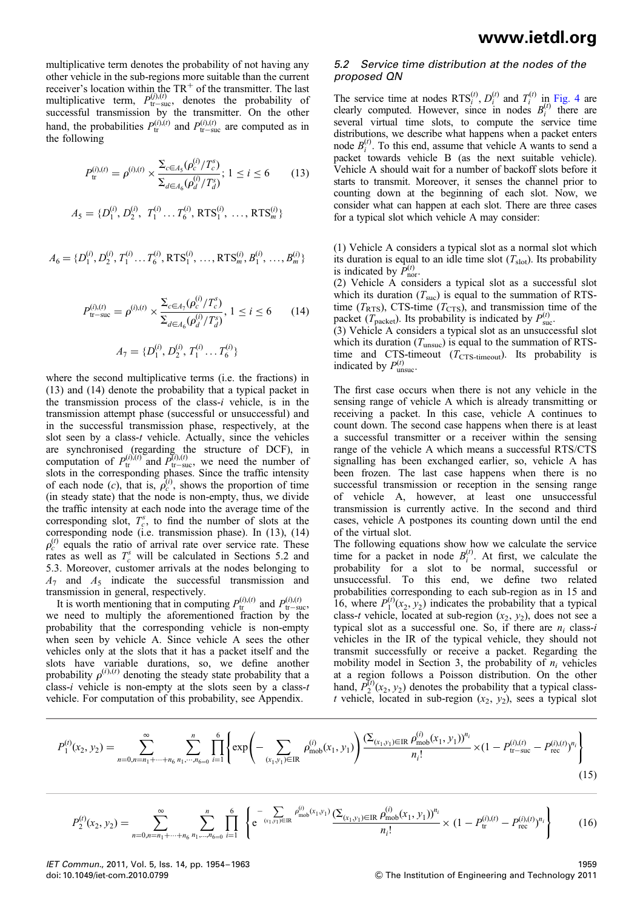multiplicative term denotes the probability of not having any other vehicle in the sub-regions more suitable than the current receiver's location within the  $TR<sup>+</sup>$  of the transmitter. The last multiplicative term,  $P_{tr-suc}^{(j),(t)}$ , denotes the probability of successful transmission by the transmitter. On the other hand, the probabilities  $P_{tr}^{(i),(t)}$  and  $P_{tr-suc}^{(i),(t)}$  are computed as in the following

$$
P_{\text{tr}}^{(i),(t)} = \rho^{(i),(t)} \times \frac{\sum_{c \in A_5} (\rho_c^{(i)} / T_c^s)}{\sum_{d \in A_6} (\rho_d^{(i)} / T_d^s)}; 1 \le i \le 6 \tag{13}
$$

$$
A_5 = \{D_1^{(i)}, D_2^{(i)}, T_1^{(i)} \dots T_6^{(i)}, \text{RTS}_1^{(i)}, \dots, \text{RTS}_m^{(i)}\}
$$

$$
A_6 = \{D_1^{(i)}, D_2^{(i)}, T_1^{(i)} \dots T_6^{(i)}, \text{RTS}_1^{(i)}, \dots, \text{RTS}_m^{(i)}, B_1^{(i)}, \dots, B_m^{(i)}\}
$$

$$
P_{\text{tr-suc}}^{(i),(t)} = \rho^{(i),(t)} \times \frac{\Sigma_{c \in A_7}(\rho_c^{(i)}/T_c^s)}{\Sigma_{d \in A_6}(\rho_d^{(i)}/T_d^s)}, 1 \le i \le 6 \qquad (14)
$$

$$
A_7 = \{D_1^{(i)}, D_2^{(i)}, T_1^{(i)} \dots T_6^{(i)}\}
$$

where the second multiplicative terms (i.e. the fractions) in (13) and (14) denote the probability that a typical packet in the transmission process of the class- $i$  vehicle, is in the transmission attempt phase (successful or unsuccessful) and in the successful transmission phase, respectively, at the slot seen by a class-t vehicle. Actually, since the vehicles are synchronised (regarding the structure of DCF), in computation of  $P_{tr}^{(i),(t)}$  and  $P_{tr-suc}^{(i),(t)}$ , we need the number of slots in the corresponding phases. Since the traffic intensity of each node (c), that is,  $\rho_c^{(i)}$ , shows the proportion of time (in steady state) that the node is non-empty, thus, we divide the traffic intensity at each node into the average time of the corresponding slot,  $T_c^s$ , to find the number of slots at the corresponding node (i.e. transmission phase). In (13), (14)  $\rho_c^{(t)}$  equals the ratio of arrival rate over service rate. These rates as well as  $T_c^s$  will be calculated in Sections 5.2 and 5.3. Moreover, customer arrivals at the nodes belonging to  $A_7$  and  $A_5$  indicate the successful transmission and transmission in general, respectively.

It is worth mentioning that in computing  $P_{tr}^{(i),(t)}$  and  $P_{tr-suc}^{(i),(t)}$ , we need to multiply the aforementioned fraction by the probability that the corresponding vehicle is non-empty when seen by vehicle A. Since vehicle A sees the other vehicles only at the slots that it has a packet itself and the slots have variable durations, so, we define another probability  $\rho^{(i),(t)}$  denoting the steady state probability that a class-i vehicle is non-empty at the slots seen by a class- $t$ vehicle. For computation of this probability, see Appendix.

#### 5.2 Service time distribution at the nodes of the proposed QN

The service time at nodes  $RTS_i^{(t)}$ ,  $D_i^{(t)}$  and  $T_i^{(t)}$  in Fig. 4 are clearly computed. However, since in nodes  $B_i^{(t)}$  there are several virtual time slots, to compute the service time distributions, we describe what happens when a packet enters node  $B_i^{(t)}$ . To this end, assume that vehicle A wants to send a packet towards vehicle B (as the next suitable vehicle). Vehicle A should wait for a number of backoff slots before it starts to transmit. Moreover, it senses the channel prior to counting down at the beginning of each slot. Now, we consider what can happen at each slot. There are three cases for a typical slot which vehicle A may consider:

(1) Vehicle A considers a typical slot as a normal slot which its duration is equal to an idle time slot  $(T_{slot})$ . Its probability is indicated by  $\vec{P}_{\text{nor}}^{(t)}$ .

(2) Vehicle A considers a typical slot as a successful slot which its duration  $(T_{\text{succ}})$  is equal to the summation of RTStime ( $T_{RTS}$ ), CTS-time ( $T_{CTS}$ ), and transmission time of the packet  $(T_{\text{packet}})$ . Its probability is indicated by  $P_{\text{succ}}^{(t)}$ 

(3) Vehicle A considers a typical slot as an unsuccessful slot which its duration  $(T_{\text{unsuc}})$  is equal to the summation of RTStime and CTS-timeout ( $T_{\text{CTS-timeout}}$ ). Its probability is indicated by  $P_{\text{unsuc}}^{(t)}$ .

The first case occurs when there is not any vehicle in the sensing range of vehicle A which is already transmitting or receiving a packet. In this case, vehicle A continues to count down. The second case happens when there is at least a successful transmitter or a receiver within the sensing range of the vehicle A which means a successful RTS/CTS signalling has been exchanged earlier, so, vehicle A has been frozen. The last case happens when there is no successful transmission or reception in the sensing range of vehicle A, however, at least one unsuccessful transmission is currently active. In the second and third cases, vehicle A postpones its counting down until the end of the virtual slot.

The following equations show how we calculate the service time for a packet in node  $B_i^{(t)}$ . At first, we calculate the probability for a slot to be normal, successful or unsuccessful. To this end, we define two related probabilities corresponding to each sub-region as in 15 and 16, where  $P_1^{(t)}(x_2, y_2)$  indicates the probability that a typical class-t vehicle, located at sub-region  $(x_2, y_2)$ , does not see a typical slot as a successful one. So, if there are  $n_i$  class-i vehicles in the IR of the typical vehicle, they should not transmit successfully or receive a packet. Regarding the mobility model in Section 3, the probability of  $n_i$  vehicles at a region follows a Poisson distribution. On the other hand,  $P_2^{(t)}(x_2, y_2)$  denotes the probability that a typical classt vehicle, located in sub-region  $(x_2, y_2)$ , sees a typical slot

$$
P_1^{(t)}(x_2, y_2) = \sum_{n=0, n=n_1+\dots+n_6}^{\infty} \sum_{n_1,\dots,n_{6=0}}^n \prod_{i=1}^6 \left\{ \exp\left(-\sum_{(x_1, y_1) \in \text{IR}} \rho_{\text{mob}}^{(i)}(x_1, y_1) \right) \frac{\left(\sum_{(x_1, y_1) \in \text{IR}} \rho_{\text{mob}}^{(i)}(x_1, y_1)\right)^{n_i}}{n_i!} \right\} \times (1 - P_{\text{tr-suc}}^{(i), (t)} - P_{\text{rec}}^{(i), (t)})^n \tag{15}
$$

$$
P_2^{(t)}(x_2, y_2) = \sum_{n=0, n=n_1+\dots+n_6}^{\infty} \sum_{n_1,\dots,n_{6=0}}^n \prod_{i=1}^6 \left\{ e^{-\sum_{(x_1, y_1)\in\mathbb{IR}} \rho_{\text{mob}}^{(i)}(x_1, y_1)} \frac{(\Sigma_{(x_1, y_1)\in\mathbb{IR}} \rho_{\text{mob}}^{(i)}(x_1, y_1))^{n_i}}{n_i!} \times (1 - P_{\text{tr}}^{(i), (t)} - P_{\text{rec}}^{(i), (t)})^{n_i} \right\}
$$
(16)

IET Commun., 2011, Vol. 5, Iss. 14, pp. 1954–1963 1959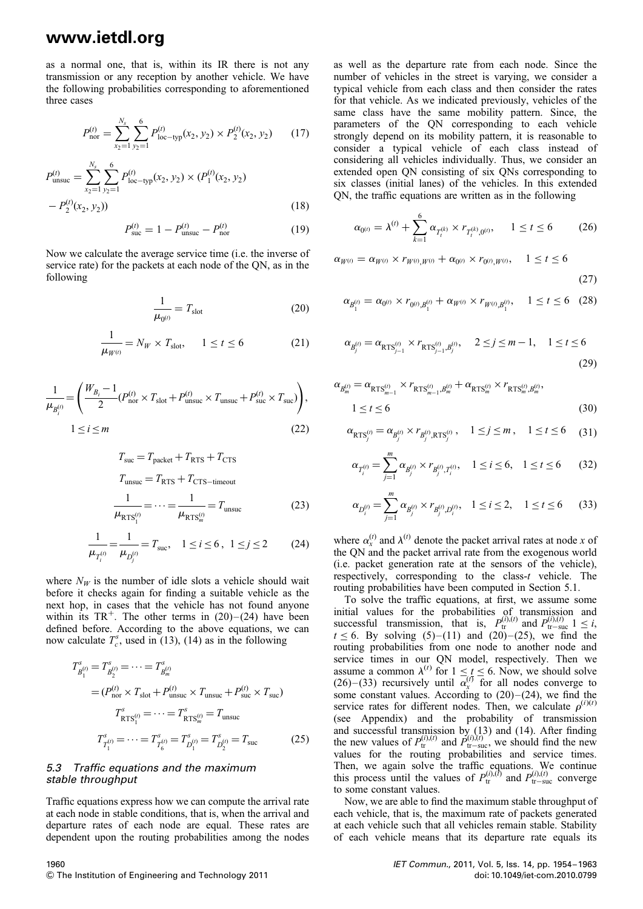as a normal one, that is, within its IR there is not any transmission or any reception by another vehicle. We have the following probabilities corresponding to aforementioned three cases

$$
P_{\text{nor}}^{(t)} = \sum_{x_2=1}^{N_s} \sum_{y_2=1}^{6} P_{\text{loc-type}}^{(t)}(x_2, y_2) \times P_2^{(t)}(x_2, y_2) \tag{17}
$$

$$
P_{\text{unsuc}}^{(t)} = \sum_{x_2=1}^{N_s} \sum_{y_2=1}^{6} P_{\text{loc-typ}}^{(t)}(x_2, y_2) \times (P_1^{(t)}(x_2, y_2) - P_2^{(t)}(x_2, y_2))
$$
\n
$$
(18)
$$

$$
P_{\text{suc}}^{(t)} = 1 - P_{\text{unsuc}}^{(t)} - P_{\text{nor}}^{(t)} \tag{19}
$$

Now we calculate the average service time (i.e. the inverse of service rate) for the packets at each node of the QN, as in the following

$$
\frac{1}{\mu_{0^{(t)}}} = T_{\text{slot}} \tag{20}
$$

$$
\frac{1}{\mu_{W^{(t)}}} = N_W \times T_{\text{slot}}, \qquad 1 \le t \le 6 \tag{21}
$$

$$
\frac{1}{\mu_{B_i^{(t)}}} = \left(\frac{W_{B_i} - 1}{2} (P_{\text{nor}}^{(t)} \times T_{\text{slot}} + P_{\text{unsucc}}^{(t)} \times T_{\text{unsucc}} + P_{\text{succ}}^{(t)} \times T_{\text{succ}})\right),
$$
  
 
$$
1 \le i \le m
$$
 (22)

$$
T_{\text{suc}} = T_{\text{packet}} + T_{\text{RTS}} + T_{\text{CTS}}
$$

$$
T_{\text{unsuc}} = T_{\text{RTS}} + T_{\text{CTS}-\text{timeout}}
$$

$$
\frac{1}{\mu_{\text{RTS}_1^{(t)}}} = \dots = \frac{1}{\mu_{\text{RTS}_m^{(t)}}} = T_{\text{unsuc}}
$$
(23)

$$
\frac{1}{\mu_{T_i^{(i)}}} = \frac{1}{\mu_{D_j^{(i)}}} = T_{\text{suc}}, \quad 1 \le i \le 6, \quad 1 \le j \le 2 \tag{24}
$$

where  $N_W$  is the number of idle slots a vehicle should wait before it checks again for finding a suitable vehicle as the next hop, in cases that the vehicle has not found anyone within its  $TR^+$ . The other terms in (20)–(24) have been defined before. According to the above equations, we can now calculate  $T_c^s$ , used in (13), (14) as in the following

$$
T_{B_1^{(i)}}^s = T_{B_2^{(i)}}^s = \dots = T_{B_m^{(i)}}^{s}
$$
  
=  $(P_{\text{nor}}^{(i)} \times T_{\text{slot}} + P_{\text{unsucc}}^{(i)} \times T_{\text{unsucc}} + P_{\text{succ}}^{(i)} \times T_{\text{succ}})$   

$$
T_{\text{RTS}_1^{(i)}}^s = \dots = T_{\text{RTS}_m^{(i)}}^s = T_{\text{unsucc}}^s
$$
  

$$
T_{T_1^{(i)}}^s = \dots = T_{T_{\xi}^{(i)}}^s = T_{D_1^{(i)}}^s = T_{D_2^{(i)}}^s = T_{\text{succ}}^s \tag{25}
$$

#### 5.3 Traffic equations and the maximum stable throughput

Traffic equations express how we can compute the arrival rate at each node in stable conditions, that is, when the arrival and departure rates of each node are equal. These rates are dependent upon the routing probabilities among the nodes as well as the departure rate from each node. Since the number of vehicles in the street is varying, we consider a typical vehicle from each class and then consider the rates for that vehicle. As we indicated previously, vehicles of the same class have the same mobility pattern. Since, the parameters of the QN corresponding to each vehicle strongly depend on its mobility pattern, it is reasonable to consider a typical vehicle of each class instead of considering all vehicles individually. Thus, we consider an extended open QN consisting of six QNs corresponding to six classes (initial lanes) of the vehicles. In this extended QN, the traffic equations are written as in the following

$$
\alpha_{0^{(t)}} = \lambda^{(t)} + \sum_{k=1}^{6} \alpha_{T_t^{(k)}} \times r_{T_t^{(k)},0^{(t)}}, \quad 1 \le t \le 6 \tag{26}
$$

 $\alpha_{W^{(t)}} = \alpha_{W^{(t)}} \times r_{W^{(t)}\!,W^{(t)}} + \alpha_{0^{(t)}} \times r_{0^{(t)}\!,W^{(t)}}, \quad 1 \leq t \leq 6$ 

$$
(27)
$$

$$
\alpha_{B_1^{(t)}} = \alpha_{0^{(t)}} \times r_{0^{(t)}, B_1^{(t)}} + \alpha_{W^{(t)}} \times r_{W^{(t)}, B_1^{(t)}}, \quad 1 \le t \le 6 \quad (28)
$$

$$
\alpha_{B_j^{(t)}} = \alpha_{\text{RTS}_{j-1}^{(t)}} \times r_{\text{RTS}_{j-1}^{(t)}, B_j^{(t)}}, \quad 2 \le j \le m-1, \quad 1 \le t \le 6
$$
\n(29)

$$
\alpha_{B_m^{(t)}} = \alpha_{\text{RTS}_{m-1}^{(t)}} \times r_{\text{RTS}_{m-1}^{(t)},B_m^{(t)}} + \alpha_{\text{RTS}_m^{(t)}} \times r_{\text{RTS}_m^{(t)},B_m^{(t)}},
$$
  
 
$$
1 \le t \le 6
$$
 (30)

$$
\alpha_{\text{RTS}_j^{(t)}} = \alpha_{\mathcal{B}_j^{(t)}} \times r_{\mathcal{B}_j^{(t)}, \text{RTS}_j^{(t)}}, \quad 1 \le j \le m, \quad 1 \le t \le 6 \tag{31}
$$

$$
\alpha_{T_i^{(t)}} = \sum_{j=1}^m \alpha_{B_j^{(t)}} \times r_{B_j^{(t)}, T_i^{(t)}}, \quad 1 \le i \le 6, \quad 1 \le t \le 6 \tag{32}
$$

$$
\alpha_{D_i^{(t)}} = \sum_{j=1}^m \alpha_{B_j^{(t)}} \times r_{B_j^{(t)}, D_i^{(t)}}, \quad 1 \le i \le 2, \quad 1 \le t \le 6 \tag{33}
$$

where  $\alpha_x^{(t)}$  and  $\lambda^{(t)}$  denote the packet arrival rates at node x of the QN and the packet arrival rate from the exogenous world (i.e. packet generation rate at the sensors of the vehicle), respectively, corresponding to the class- $t$  vehicle. The routing probabilities have been computed in Section 5.1.

To solve the traffic equations, at first, we assume some initial values for the probabilities of transmission and successful transmission, that is,  $P_{\text{tr}-\text{suc}}^{(i),(t)}$  and  $P_{\text{tr}-\text{suc}}^{(i),(t)}$  1 ≤ i,  $t \le 6$ . By solving  $(5)-(11)$  and  $(20)-(25)$ , we find the routing probabilities from one node to another node and service times in our QN model, respectively. Then we assume a common  $\lambda^{(t)}$  for  $1 \le t \le 6$ . Now, we should solve (26)–(33) recursively until  $\alpha_x^{(t)}$  for all nodes converge to some constant values. According to  $(20)$ – $(24)$ , we find the service rates for different nodes. Then, we calculate  $\rho^{(i)(t)}$ (see Appendix) and the probability of transmission and successful transmission by  $(13)$  and  $(14)$ . After finding the new values of  $P_{tr}^{(i),(t)}$  and  $P_{tr-sure}^{(i),(t)}$ , we should find the new values for the routing probabilities and service times. Then, we again solve the traffic equations. We continue this process until the values of  $P_{tr}^{(i),(t)}$  and  $P_{tr-suc}^{(i),(t)}$  converge to some constant values.

Now, we are able to find the maximum stable throughput of each vehicle, that is, the maximum rate of packets generated at each vehicle such that all vehicles remain stable. Stability of each vehicle means that its departure rate equals its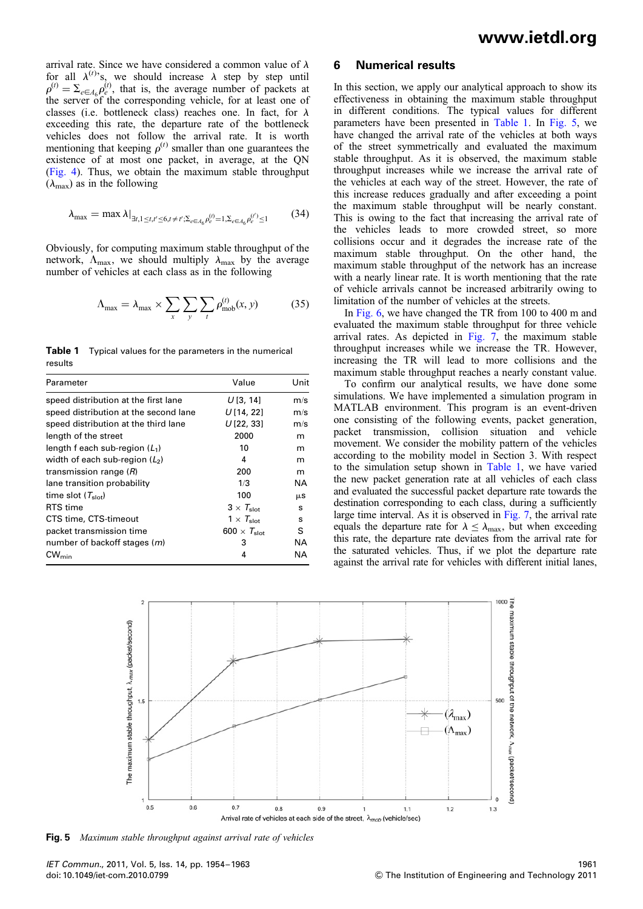arrival rate. Since we have considered a common value of  $\lambda$ for all  $\lambda^{(t)}$ 's, we should increase  $\lambda$  step by step until  $\rho^{(t)} = \sum_{e \in A_6} \rho_e^{(t)}$ , that is, the average number of packets at the server of the corresponding vehicle, for at least one of classes (i.e. bottleneck class) reaches one. In fact, for  $\lambda$ exceeding this rate, the departure rate of the bottleneck vehicles does not follow the arrival rate. It is worth mentioning that keeping  $\rho^{(t)}$  smaller than one guarantees the existence of at most one packet, in average, at the QN (Fig. 4). Thus, we obtain the maximum stable throughput  $(\lambda_{\text{max}})$  as in the following

$$
\lambda_{\max} = \max \lambda|_{\exists t, 1 \le t, t' \le 6, t \ne t'; \Sigma_{e \in A_6} \rho_e^{(t)} = 1, \Sigma_{e \in A_6} \rho_e^{(t')} \le 1}
$$
(34)

Obviously, for computing maximum stable throughput of the network,  $\Lambda_{\text{max}}$ , we should multiply  $\lambda_{\text{max}}$  by the average number of vehicles at each class as in the following

$$
\Lambda_{\text{max}} = \lambda_{\text{max}} \times \sum_{x} \sum_{y} \sum_{t} \rho_{\text{mob}}^{(t)}(x, y) \tag{35}
$$

**Table 1** Typical values for the parameters in the numerical results

| Parameter                             | Value                          | Unit |
|---------------------------------------|--------------------------------|------|
| speed distribution at the first lane  | U[3, 14]                       | m/s  |
| speed distribution at the second lane | U[14, 22]                      | m/s  |
| speed distribution at the third lane  | U[22, 33]                      | m/s  |
| length of the street                  | 2000                           | m    |
| length f each sub-region $(L_1)$      | 10                             | m    |
| width of each sub-region $(L2)$       | 4                              | m    |
| transmission range $(R)$              | 200                            | m    |
| lane transition probability           | 1/3                            | NA   |
| time slot $(T_{\text{slot}})$         | 100                            | μS   |
| RTS time                              | $3 \times T_{\text{slot}}$     | s    |
| CTS time, CTS-timeout                 | $1 \times T_{slot}$            | s    |
| packet transmission time              | 600 $\times$ $T_{\text{slot}}$ | S    |
| number of backoff stages ( <i>m</i> ) | 3                              | ΝA   |
| $CW_{min}$                            | 4                              | NA   |

#### 6 Numerical results

In this section, we apply our analytical approach to show its effectiveness in obtaining the maximum stable throughput in different conditions. The typical values for different parameters have been presented in Table 1. In Fig. 5, we have changed the arrival rate of the vehicles at both ways of the street symmetrically and evaluated the maximum stable throughput. As it is observed, the maximum stable throughput increases while we increase the arrival rate of the vehicles at each way of the street. However, the rate of this increase reduces gradually and after exceeding a point the maximum stable throughput will be nearly constant. This is owing to the fact that increasing the arrival rate of the vehicles leads to more crowded street, so more collisions occur and it degrades the increase rate of the maximum stable throughput. On the other hand, the maximum stable throughput of the network has an increase with a nearly linear rate. It is worth mentioning that the rate of vehicle arrivals cannot be increased arbitrarily owing to limitation of the number of vehicles at the streets.

In Fig. 6, we have changed the TR from 100 to 400 m and evaluated the maximum stable throughput for three vehicle arrival rates. As depicted in Fig. 7, the maximum stable throughput increases while we increase the TR. However, increasing the TR will lead to more collisions and the maximum stable throughput reaches a nearly constant value.

To confirm our analytical results, we have done some simulations. We have implemented a simulation program in MATLAB environment. This program is an event-driven one consisting of the following events, packet generation, packet transmission, collision situation and vehicle movement. We consider the mobility pattern of the vehicles according to the mobility model in Section 3. With respect to the simulation setup shown in Table 1, we have varied the new packet generation rate at all vehicles of each class and evaluated the successful packet departure rate towards the destination corresponding to each class, during a sufficiently large time interval. As it is observed in Fig. 7, the arrival rate equals the departure rate for  $\lambda \leq \lambda_{\text{max}}$ , but when exceeding this rate, the departure rate deviates from the arrival rate for the saturated vehicles. Thus, if we plot the departure rate against the arrival rate for vehicles with different initial lanes,



**Fig. 5** Maximum stable throughput against arrival rate of vehicles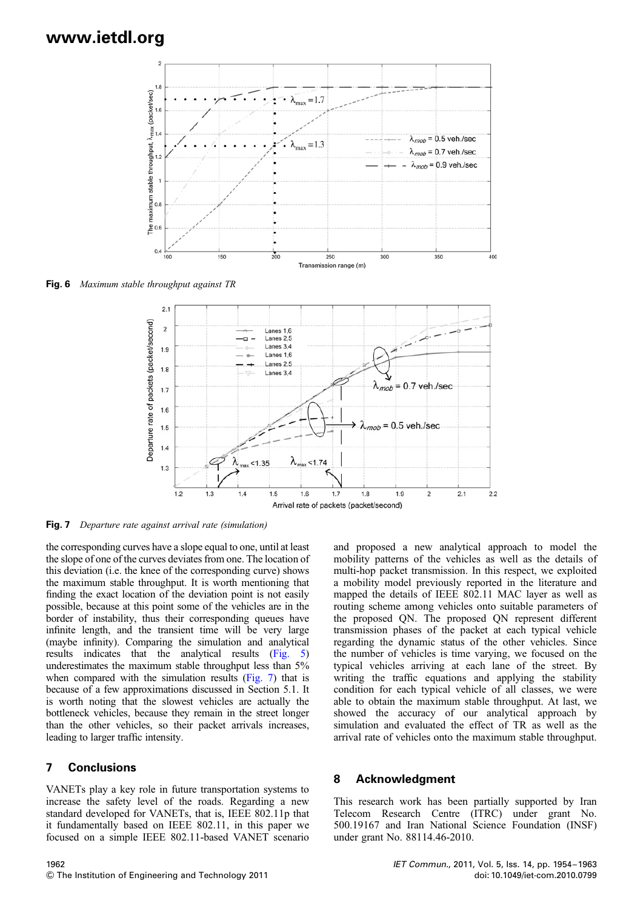

Fig. 6 Maximum stable throughput against TR



Fig. 7 Departure rate against arrival rate (simulation)

the corresponding curves have a slope equal to one, until at least the slope of one of the curves deviates from one. The location of this deviation (i.e. the knee of the corresponding curve) shows the maximum stable throughput. It is worth mentioning that finding the exact location of the deviation point is not easily possible, because at this point some of the vehicles are in the border of instability, thus their corresponding queues have infinite length, and the transient time will be very large (maybe infinity). Comparing the simulation and analytical results indicates that the analytical results (Fig. 5) underestimates the maximum stable throughput less than 5% when compared with the simulation results (Fig. 7) that is because of a few approximations discussed in Section 5.1. It is worth noting that the slowest vehicles are actually the bottleneck vehicles, because they remain in the street longer than the other vehicles, so their packet arrivals increases, leading to larger traffic intensity.

### 7 Conclusions

VANETs play a key role in future transportation systems to increase the safety level of the roads. Regarding a new standard developed for VANETs, that is, IEEE 802.11p that it fundamentally based on IEEE 802.11, in this paper we focused on a simple IEEE 802.11-based VANET scenario

and proposed a new analytical approach to model the mobility patterns of the vehicles as well as the details of multi-hop packet transmission. In this respect, we exploited a mobility model previously reported in the literature and mapped the details of IEEE 802.11 MAC layer as well as routing scheme among vehicles onto suitable parameters of the proposed QN. The proposed QN represent different transmission phases of the packet at each typical vehicle regarding the dynamic status of the other vehicles. Since the number of vehicles is time varying, we focused on the typical vehicles arriving at each lane of the street. By writing the traffic equations and applying the stability condition for each typical vehicle of all classes, we were able to obtain the maximum stable throughput. At last, we showed the accuracy of our analytical approach by simulation and evaluated the effect of TR as well as the arrival rate of vehicles onto the maximum stable throughput.

### 8 Acknowledgment

This research work has been partially supported by Iran Telecom Research Centre (ITRC) under grant No. 500.19167 and Iran National Science Foundation (INSF) under grant No. 88114.46-2010.